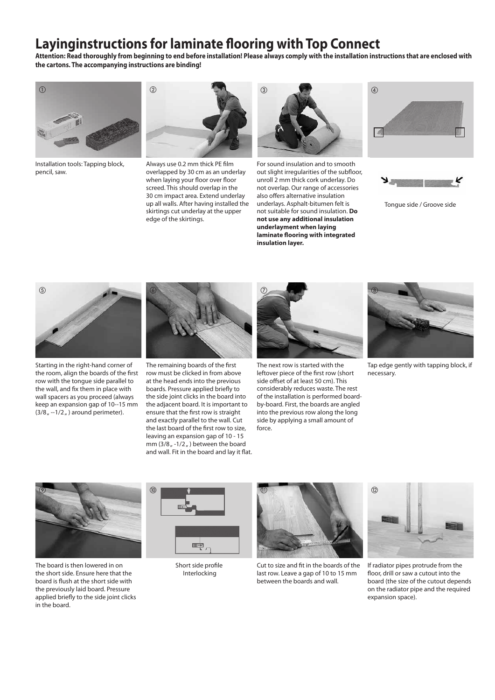## **Layinginstructions for laminate flooring with Top Connect**

**Attention: Read thoroughly from beginning to end before installation! Please always comply with the installation instructions that are enclosed with the cartons. The accompanying instructions are binding!** 



Installation tools: Tapping block, pencil, saw.



Always use 0.2 mm thick PE film overlapped by 30 cm as an underlay when laying your floor over floor screed. This should overlap in the 30 cm impact area. Extend underlay up all walls. After having installed the skirtings cut underlay at the upper edge of the skirtings.



For sound insulation and to smooth out slight irregularities of the subfloor, unroll 2 mm thick cork underlay. Do not overlap. Our range of accessories also offers alternative insulation underlays. Asphalt-bitumen felt is not suitable for sound insulation. **Do not use any additional insulation underlayment when laying laminate flooring with integrated insulation layer.**





Tongue side / Groove side



Starting in the right-hand corner of the room, align the boards of the first row with the tongue side parallel to the wall, and fix them in place with wall spacers as you proceed (always keep an expansion gap of 10--15 mm  $(3/8<sub>n</sub> -1/2<sub>n</sub>)$  around perimeter).



The remaining boards of the first row must be clicked in from above at the head ends into the previous boards. Pressure applied briefly to the side joint clicks in the board into the adjacent board. It is important to ensure that the first row is straight and exactly parallel to the wall. Cut the last board of the first row to size, leaving an expansion gap of 10 - 15 mm  $(3/8<sub>II</sub> - 1/2<sub>II</sub>)$  between the board and wall. Fit in the board and lay it flat.



The next row is started with the leftover piece of the first row (short side offset of at least 50 cm). This considerably reduces waste. The rest of the installation is performed boardby-board. First, the boards are angled into the previous row along the long side by applying a small amount of force.



Tap edge gently with tapping block, if necessary.



The board is then lowered in on the short side. Ensure here that the board is flush at the short side with the previously laid board. Pressure applied briefly to the side joint clicks in the board.



Short side profile Interlocking



Cut to size and fit in the boards of the last row. Leave a gap of 10 to 15 mm between the boards and wall.



If radiator pipes protrude from the floor, drill or saw a cutout into the board (the size of the cutout depends on the radiator pipe and the required expansion space).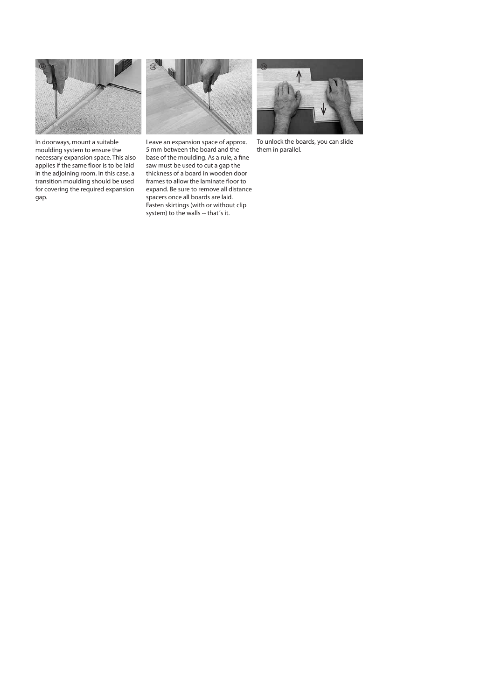

In doorways, mount a suitable moulding system to ensure the necessary expansion space. This also applies if the same floor is to be laid in the adjoining room. In this case, a transition moulding should be used for covering the required expansion gap.



Leave an expansion space of approx. 5 mm between the board and the base of the moulding. As a rule, a fine saw must be used to cut a gap the thickness of a board in wooden door frames to allow the laminate floor to expand. Be sure to remove all distance spacers once all boards are laid. Fasten skirtings (with or without clip system) to the walls -- that´s it.



To unlock the boards, you can slide them in parallel.